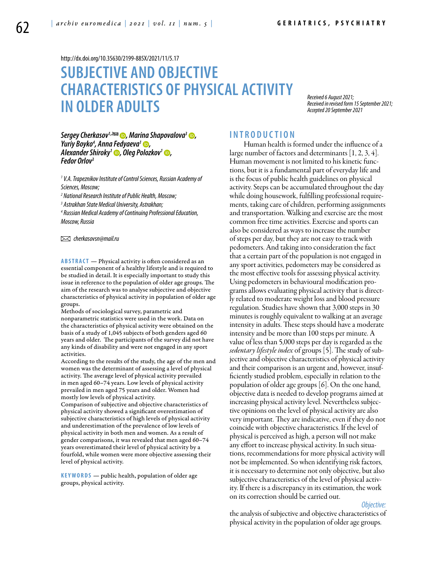<http://dx.doi.org/10.35630/2199-885X/2021/11/5.17>

# **Subjective and objective characteristics of physical activity in older adults**

*Received 6 August 2021; Received in revised form 15 September 2021; Accepted 20 September 2021*

*[Sergey Cherkasov](https://orcid.org/0000-0003-1664-6802)<sup>1,2</sup> <del>©</del>, [Marina Shapovalova](https://orcid.org/0000-0002-2559-4648)<sup>3</sup> ©,<br>Yuriy Boyko<sup>4</sup>, Anna Fedyaeva<sup>1</sup> ©, , [Anna Fedyaeva1](https://orcid.org/0000-0002-8874-0921) , [Alexander Shiroky1](https://orcid.org/0000-0002-9130-5541) , [Oleg Polozkov](https://orcid.org/0000-0002-1105-4552)1 , Fedor Orlov3*

<sup>1</sup> V.A. Trapeznikov Institute of Control Sciences, Russian Academy of *Sciences, Moscow;*

*2 National Research Institute of Public Health, Moscow;*

*3 Astrakhan State Medical University, Astrakhan;*

*4 Russian Medical Academy of Continuing Professional Education, Moscow, Russia*

 *cherkasovsn@mail.ru* 

**ABSTRACT** — Physical activity is often considered as an essential component of a healthy lifestyle and is required to be studied in detail. It is especially important to study this issue in reference to the population of older age groups. The aim of the research was to analyse subjective and objective characteristics of physical activity in population of older age groups.

Methods of sociological survey, parametric and nonparametric statistics were used in the work. Data on the characteristics of physical activity were obtained on the basis of a study of 1,045 subjects of both genders aged 60 years and older. The participants of the survey did not have any kinds of disability and were not engaged in any sport activities.

According to the results of the study, the age of the men and women was the determinant of assessing a level of physical activity. The average level of physical activity prevailed in men aged 60–74 years. Low levels of physical activity prevailed in men aged 75 years and older. Women had mostly low levels of physical activity.

Comparison of subjective and objective characteristics of physical activity showed a significant overestimation of subjective characteristics of high levels of physical activity and underestimation of the prevalence of low levels of physical activity in both men and women. As a result of gender comparisons, it was revealed that men aged 60–74 years overestimated their level of physical activity by a fourfold, while women were more objective assessing their level of physical activity.

**KEYWORDS** — public health, population of older age groups, physical activity.

### **INTROD U CTION**

Human health is formed under the influence of a large number of factors and determinants [1, 2, 3, 4]. Human movement is not limited to his kinetic functions, but it is a fundamental part of everyday life and is the focus of public health guidelines on physical activity. Steps can be accumulated throughout the day while doing housework, fulfilling professional requirements, taking care of children, performing assignments and transportation. Walking and exercise are the most common free time activities. Exercise and sports can also be considered as ways to increase the number of steps per day, but they are not easy to track with pedometers. And taking into consideration the fact that a certain part of the population is not engaged in any sport activities, pedometers may be considered as the most effective tools for assessing physical activity. Using pedometers in behavioural modification programs allows evaluating physical activity that is directly related to moderate weight loss and blood pressure regulation. Studies have shown that 3,000 steps in 30 minutes is roughly equivalent to walking at an average intensity in adults. These steps should have a moderate intensity and be more than 100 steps per minute. A value of less than 5,000 steps per day is regarded as the *sedentary lifestyle index* of groups [5]. The study of subjective and objective characteristics of physical activity and their comparison is an urgent and, however, insufficiently studied problem, especially in relation to the population of older age groups [6]. On the one hand, objective data is needed to develop programs aimed at increasing physical activity level. Nevertheless subjective opinions on the level of physical activity are also very important. They are indicative, even if they do not coincide with objective characteristics. If the level of physical is perceived as high, a person will not make any effort to increase physical activity. In such situations, recommendations for more physical activity will not be implemented. So when identifying risk factors, it is necessary to determine not only objective, but also subjective characteristics of the level of physical activity. If there is a discrepancy in its estimation, the work on its correction should be carried out.

#### *Objective:*

the analysis of subjective and objective characteristics of physical activity in the population of older age groups.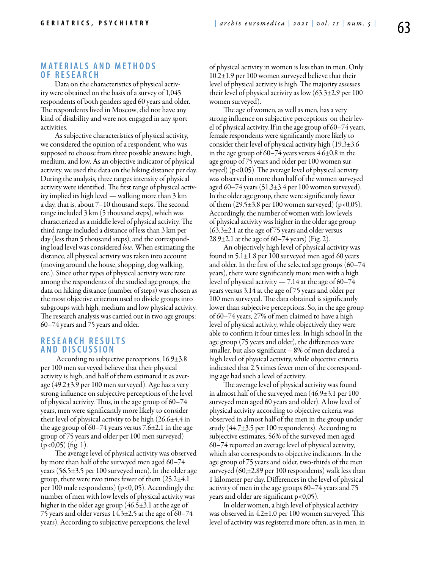#### **MATERIALS AND METHODS o f r e s e a r ch**

Data on the characteristics of physical activity were obtained on the basis of a survey of 1,045 respondents of both genders aged 60 years and older. The respondents lived in Moscow, did not have any kind of disability and were not engaged in any sport activities.

As subjective characteristics of physical activity, we considered the opinion of a respondent, who was supposed to choose from three possible answers: high, medium, and low. As an objective indicator of physical activity, we used the data on the hiking distance per day. During the analysis, three ranges intensity of physical activity were identified. The first range of physical activity implied its high level — walking more than 3 km a day, that is, about 7–10 thousand steps. The second range included 3 km (5 thousand steps), which was characterized as a middle level of physical activity. The third range included a distance of less than 3 km per day (less than 5 thousand steps), and the corresponding load level was considered *low*. When estimating the distance, all physical activity was taken into account (moving around the house, shopping, dog walking, etc.). Since other types of physical activity were rare among the respondents of the studied age groups, the data on hiking distance (number of steps) was chosen as the most objective criterion used to divide groups into subgroups with high, medium and low physical activity. The research analysis was carried out in two age groups: 60–74 years and 75 years and older.

#### **R e s e a r ch R e s u l t s a n d D i scu s s i o n**

 According to subjective perceptions, 16.9±3.8 per 100 men surveyed believe that their physical activity is high, and half of them estimated it as average (49.2±3.9 per 100 men surveyed). Age has a very strong influence on subjective perceptions of the level of physical activity. Thus, in the age group of 60–74 years, men were significantly more likely to consider their level of physical activity to be high (26.6±4.4 in the age group of 60–74 years versus 7.6±2.1 in the age group of 75 years and older per 100 men surveyed)  $(p<0.05)$  (fig. 1).

The average level of physical activity was observed by more than half of the surveyed men aged 60–74 years (56.5±3.5 per 100 surveyed men). In the older age group, there were two times fewer of them (25.2±4.1 per 100 male respondents) (р<0, 05). Accordingly the number of men with low levels of physical activity was higher in the older age group (46.5±3.1 at the age of 75 years and older versus 14.3±2.5 at the age of 60–74 years). According to subjective perceptions, the level

of physical activity in women is less than in men. Only 10.2±1.9 per 100 women surveyed believe that their level of physical activity is high. The majority assesses their level of physical activity as low  $(63.3\pm2.9$  per 100 women surveyed).

The age of women, as well as men, has a very strong influence on subjective perceptions on their level of physical activity. If in the age group of 60–74 years, female respondents were significantly more likely to consider their level of physical activity high  $(19.3\pm3.6$ in the age group of 60–74 years versus 4.6±0.8 in the age group of 75 years and older per 100 women surveyed) (р<0,05). The average level of physical activity was observed in more than half of the women surveyed aged  $60-74$  years  $(51.3\pm3.4$  per 100 women surveyed). In the older age group, there were significantly fewer of them  $(29.5\pm3.8 \,\text{per } 100 \,\text{women surveyed})$  (p<0,05). Accordingly, the number of women with low levels of physical activity was higher in the older age group (63.3±2.1 at the age of 75 years and older versus 28.9 $\pm$ 2.1 at the age of 60–74 years) (Fig. 2).

An objectively high level of physical activity was found in 5.1±1.8 per 100 surveyed men aged 60 years and older. In the first of the selected age groups (60–74 years), there were significantly more men with a high level of physical activity  $-7.14$  at the age of 60–74 years versus 3.14 at the age of 75 years and older per 100 men surveyed. The data obtained is significantly lower than subjective perceptions. So, in the age group of 60–74 years, 27% of men claimed to have a high level of physical activity, while objectively they were able to confirm it four times less. In high school In the age group (75 years and older), the differences were smaller, but also significant – 8% of men declared a high level of physical activity, while objective criteria indicated that 2.5 times fewer men of the corresponding age had such a level of activity.

The average level of physical activity was found in almost half of the surveyed men (46.9±3.1 per 100 surveyed men aged 60 years and older). A low level of physical activity according to objective criteria was observed in almost half of the men in the group under study (44.7±3.5 per 100 respondents). According to subjective estimates, 56% of the surveyed men aged 60–74 reported an average level of physical activity, which also corresponds to objective indicators. In the age group of 75 years and older, two-thirds of the men surveyed  $(60,\pm 2.89$  per 100 respondents) walk less than 1 kilometer per day. Differences in the level of physical activity of men in the age groups 60–74 years and 75 years and older are significant  $p < 0.05$ ).

In older women, a high level of physical activity was observed in 4.2±1.0 per 100 women surveyed. This level of activity was registered more often, as in men, in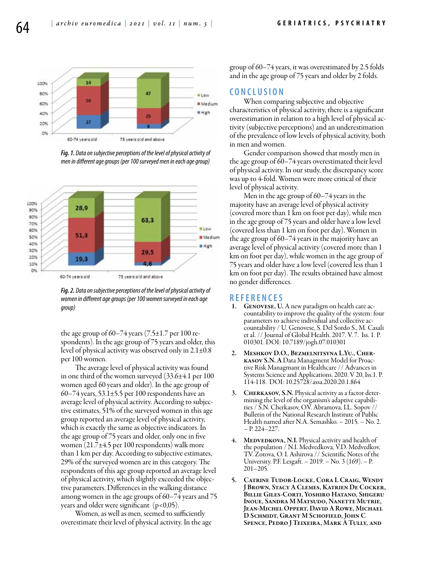

*Fig. 1. Data on subjective perceptions of the level of physical activity of men in different age groups (per 100 surveyed men in each age group)*



*Fig. 2. Data on subjective perceptions of the level of physical activity of women in different age groups (per 100 women surveyed in each age group)*

the age group of  $60-74$  years  $(7.5\pm1.7$  per 100 respondents). In the age group of 75 years and older, this level of physical activity was observed only in 2.1±0.8 per 100 women.

The average level of physical activity was found in one third of the women surveyed (33.6±4.1 per 100 women aged 60 years and older). In the age group of 60–74 years, 53.1 $\pm$ 5.5 per 100 respondents have an average level of physical activity. According to subjective estimates, 51% of the surveyed women in this age group reported an average level of physical activity, which is exactly the same as objective indicators. In the age group of 75 years and older, only one in five women (21.7±4.5 per 100 respondents) walk more than 1 km per day. According to subjective estimates, 29% of the surveyed women are in this category. The respondents of this age group reported an average level of physical activity, which slightly exceeded the objective parameters. Differences in the walking distance among women in the age groups of 60–74 years and 75 years and older were significant  $(p<0.05)$ .

Women, as well as men, seemed to sufficiently overestimate their level of physical activity. In the age group of 60–74 years, it was overestimated by 2.5 folds and in the age group of 75 years and older by 2 folds.

#### **C o n cl u s i o n**

When comparing subjective and objective characteristics of physical activity, there is a significant overestimation in relation to a high level of physical activity (subjective perceptions) and an underestimation of the prevalence of low levels of physical activity, both in men and women.

Gender comparison showed that mostly men in the age group of 60–74 years overestimated their level of physical activity. In our study, the discrepancy score was up to 4-fold. Women were more critical of their level of physical activity.

Men in the age group of 60–74 years in the majority have an average level of physical activity (covered more than 1 km on foot per day), while men in the age group of 75 years and older have a low level (covered less than 1 km on foot per day). Women in the age group of 60–74 years in the majority have an average level of physical activity (covered more than 1 km on foot per day), while women in the age group of 75 years and older have a low level (covered less than 1 km on foot per day). The results obtained have almost no gender differences.

## **R efe r e n ce s**

- GENOVESE, U. A new paradigm on health care accountability to improve the quality of the system: four parameters to achieve individual and collective accountability / U. Genovese, S. Del Sordo S., M. Casali et al. // Journal of Global Health. 2017. V. 7. Iss. 1. Р. 010301. DOI: 10.7189/jogh.07.010301
- 2. Meshkov D.О., Bezmelnitsyna L.Yu., Cherkasov S.N. A Data Managment Model for Proactive Risk Managmant in Healthcare // Advances in Systems Science and Applications. 2020. V 20, Iss.1. Р. 114-118. DOI: 10.25728/assa.2020.20.1.864
- 3. Cherkasov, S.N. Physical activity as a factor deter- mining the level of the organism's adaptive capabili- ties / S.N. Cherkasov, O.V. Abramova, I.L. Sopov // Bulletin of the National Research Institute of Public Health named after N.A. Semashko. – 2015. – No. 2. – Р. 224–227.
- 4. MEDVEDKOVA, N.I. Physical activity and health of the population / N.I. Medvedkova, V.D. Medvedkov, T.V. Zotova, O. I. Ashirova // Scientific Notes of the University. P.F. Lesgaft. – 2019. – No. 3 (169). – Р. 201–205.
- 5. Catrine Tudor-Locke, Cora L Craig, Wendy J Brown, Stacy A Clemes, Katrien De Cocker, Billie Giles-Corti, Yoshiro Hatano, Shigeru Inoue, Sandra M Matsudo, Nanette Mutrie, Jean-Michel Oppert, David A Rowe, Michael D Schmidt, Grant M Schofield, John C Spence, Pedro J Teixeira, Mark A Tully, and